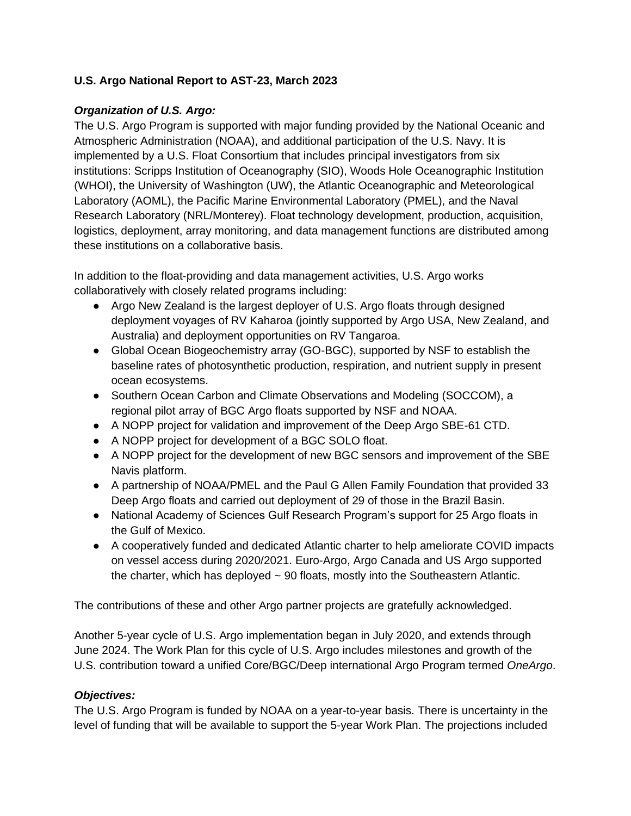#### **U.S. Argo National Report to AST-23, March 2023**

### *Organization of U.S. Argo:*

The U.S. Argo Program is supported with major funding provided by the National Oceanic and Atmospheric Administration (NOAA), and additional participation of the U.S. Navy. It is implemented by a U.S. Float Consortium that includes principal investigators from six institutions: Scripps Institution of Oceanography (SIO), Woods Hole Oceanographic Institution (WHOI), the University of Washington (UW), the Atlantic Oceanographic and Meteorological Laboratory (AOML), the Pacific Marine Environmental Laboratory (PMEL), and the Naval Research Laboratory (NRL/Monterey). Float technology development, production, acquisition, logistics, deployment, array monitoring, and data management functions are distributed among these institutions on a collaborative basis.

In addition to the float-providing and data management activities, U.S. Argo works collaboratively with closely related programs including:

- Argo New Zealand is the largest deployer of U.S. Argo floats through designed deployment voyages of RV Kaharoa (jointly supported by Argo USA, New Zealand, and Australia) and deployment opportunities on RV Tangaroa.
- Global Ocean Biogeochemistry array (GO-BGC), supported by NSF to establish the baseline rates of photosynthetic production, respiration, and nutrient supply in present ocean ecosystems.
- Southern Ocean Carbon and Climate Observations and Modeling (SOCCOM), a regional pilot array of BGC Argo floats supported by NSF and NOAA.
- A NOPP project for validation and improvement of the Deep Argo SBE-61 CTD.
- A NOPP project for development of a BGC SOLO float.
- A NOPP project for the development of new BGC sensors and improvement of the SBE Navis platform.
- A partnership of NOAA/PMEL and the Paul G Allen Family Foundation that provided 33 Deep Argo floats and carried out deployment of 29 of those in the Brazil Basin.
- National Academy of Sciences Gulf Research Program's support for 25 Argo floats in the Gulf of Mexico.
- A cooperatively funded and dedicated Atlantic charter to help ameliorate COVID impacts on vessel access during 2020/2021. Euro-Argo, Argo Canada and US Argo supported the charter, which has deployed  $\sim$  90 floats, mostly into the Southeastern Atlantic.

The contributions of these and other Argo partner projects are gratefully acknowledged.

Another 5-year cycle of U.S. Argo implementation began in July 2020, and extends through June 2024. The Work Plan for this cycle of U.S. Argo includes milestones and growth of the U.S. contribution toward a unified Core/BGC/Deep international Argo Program termed *OneArgo*.

## *Objectives:*

The U.S. Argo Program is funded by NOAA on a year-to-year basis. There is uncertainty in the level of funding that will be available to support the 5-year Work Plan. The projections included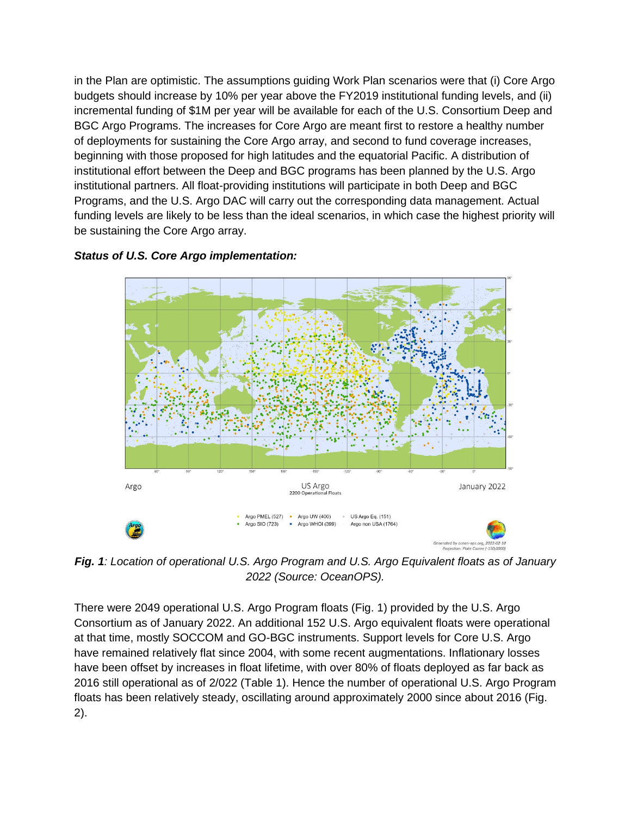in the Plan are optimistic. The assumptions guiding Work Plan scenarios were that (i) Core Argo budgets should increase by 10% per year above the FY2019 institutional funding levels, and (ii) incremental funding of \$1M per year will be available for each of the U.S. Consortium Deep and BGC Argo Programs. The increases for Core Argo are meant first to restore a healthy number of deployments for sustaining the Core Argo array, and second to fund coverage increases, beginning with those proposed for high latitudes and the equatorial Pacific. A distribution of institutional effort between the Deep and BGC programs has been planned by the U.S. Argo institutional partners. All float-providing institutions will participate in both Deep and BGC Programs, and the U.S. Argo DAC will carry out the corresponding data management. Actual funding levels are likely to be less than the ideal scenarios, in which case the highest priority will be sustaining the Core Argo array.

#### *Status of U.S. Core Argo implementation:*



*Fig. 1: Location of operational U.S. Argo Program and U.S. Argo Equivalent floats as of January 2022 (Source: OceanOPS).*

There were 2049 operational U.S. Argo Program floats (Fig. 1) provided by the U.S. Argo Consortium as of January 2022. An additional 152 U.S. Argo equivalent floats were operational at that time, mostly SOCCOM and GO-BGC instruments. Support levels for Core U.S. Argo have remained relatively flat since 2004, with some recent augmentations. Inflationary losses have been offset by increases in float lifetime, with over 80% of floats deployed as far back as 2016 still operational as of 2/022 (Table 1). Hence the number of operational U.S. Argo Program floats has been relatively steady, oscillating around approximately 2000 since about 2016 (Fig. 2).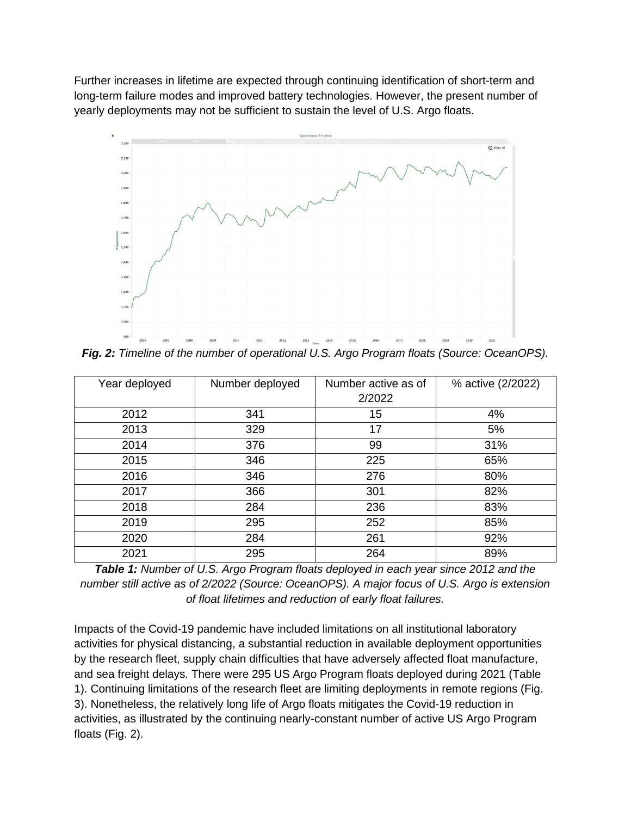Further increases in lifetime are expected through continuing identification of short-term and long-term failure modes and improved battery technologies. However, the present number of yearly deployments may not be sufficient to sustain the level of U.S. Argo floats.



*Fig. 2: Timeline of the number of operational U.S. Argo Program floats (Source: OceanOPS).*

| Year deployed | Number deployed | Number active as of | % active (2/2022) |
|---------------|-----------------|---------------------|-------------------|
|               |                 | 2/2022              |                   |
| 2012          | 341             | 15                  | 4%                |
| 2013          | 329             | 17                  | 5%                |
| 2014          | 376             | 99                  | 31%               |
| 2015          | 346             | 225                 | 65%               |
| 2016          | 346             | 276                 | 80%               |
| 2017          | 366             | 301                 | 82%               |
| 2018          | 284             | 236                 | 83%               |
| 2019          | 295             | 252                 | 85%               |
| 2020          | 284             | 261                 | 92%               |
| 2021          | 295             | 264                 | 89%               |

*Table 1: Number of U.S. Argo Program floats deployed in each year since 2012 and the number still active as of 2/2022 (Source: OceanOPS). A major focus of U.S. Argo is extension of float lifetimes and reduction of early float failures.*

Impacts of the Covid-19 pandemic have included limitations on all institutional laboratory activities for physical distancing, a substantial reduction in available deployment opportunities by the research fleet, supply chain difficulties that have adversely affected float manufacture, and sea freight delays. There were 295 US Argo Program floats deployed during 2021 (Table 1). Continuing limitations of the research fleet are limiting deployments in remote regions (Fig. 3). Nonetheless, the relatively long life of Argo floats mitigates the Covid-19 reduction in activities, as illustrated by the continuing nearly-constant number of active US Argo Program floats (Fig. 2).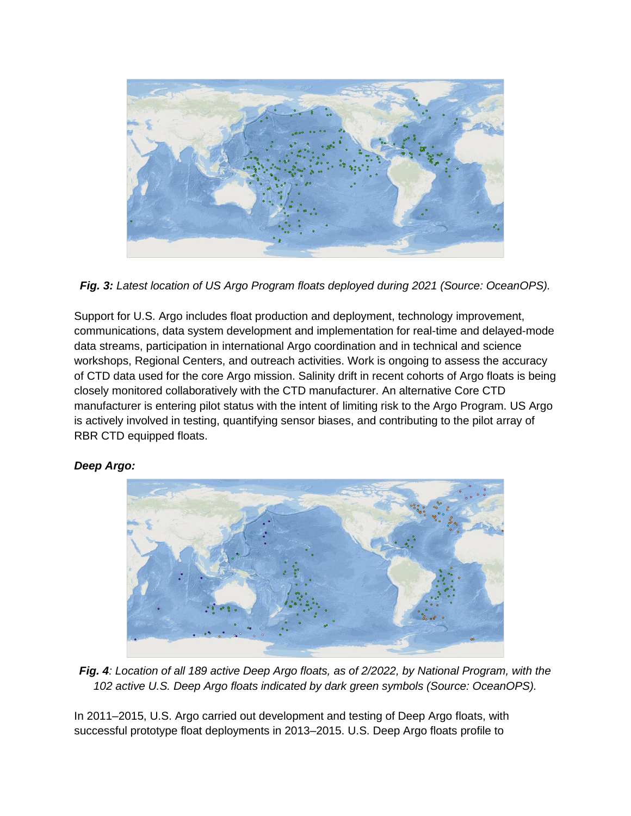

*Fig. 3: Latest location of US Argo Program floats deployed during 2021 (Source: OceanOPS).*

Support for U.S. Argo includes float production and deployment, technology improvement, communications, data system development and implementation for real-time and delayed-mode data streams, participation in international Argo coordination and in technical and science workshops, Regional Centers, and outreach activities. Work is ongoing to assess the accuracy of CTD data used for the core Argo mission. Salinity drift in recent cohorts of Argo floats is being closely monitored collaboratively with the CTD manufacturer. An alternative Core CTD manufacturer is entering pilot status with the intent of limiting risk to the Argo Program. US Argo is actively involved in testing, quantifying sensor biases, and contributing to the pilot array of RBR CTD equipped floats.



## *Deep Argo:*

*Fig. 4: Location of all 189 active Deep Argo floats, as of 2/2022, by National Program, with the 102 active U.S. Deep Argo floats indicated by dark green symbols (Source: OceanOPS).*

In 2011–2015, U.S. Argo carried out development and testing of Deep Argo floats, with successful prototype float deployments in 2013–2015. U.S. Deep Argo floats profile to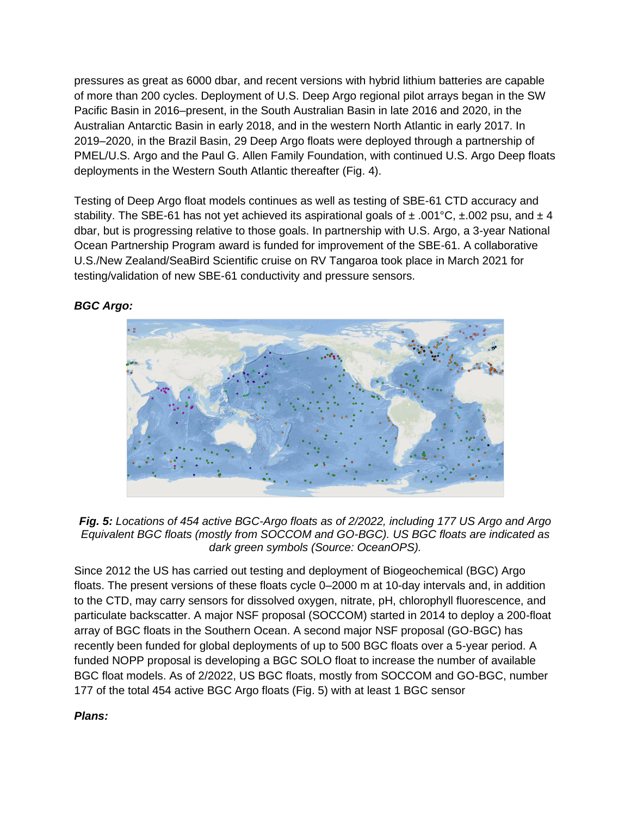pressures as great as 6000 dbar, and recent versions with hybrid lithium batteries are capable of more than 200 cycles. Deployment of U.S. Deep Argo regional pilot arrays began in the SW Pacific Basin in 2016–present, in the South Australian Basin in late 2016 and 2020, in the Australian Antarctic Basin in early 2018, and in the western North Atlantic in early 2017. In 2019–2020, in the Brazil Basin, 29 Deep Argo floats were deployed through a partnership of PMEL/U.S. Argo and the Paul G. Allen Family Foundation, with continued U.S. Argo Deep floats deployments in the Western South Atlantic thereafter (Fig. 4).

Testing of Deep Argo float models continues as well as testing of SBE-61 CTD accuracy and stability. The SBE-61 has not yet achieved its aspirational goals of  $\pm$  .001°C,  $\pm$ .002 psu, and  $\pm$  4 dbar, but is progressing relative to those goals. In partnership with U.S. Argo, a 3-year National Ocean Partnership Program award is funded for improvement of the SBE-61. A collaborative U.S./New Zealand/SeaBird Scientific cruise on RV Tangaroa took place in March 2021 for testing/validation of new SBE-61 conductivity and pressure sensors.



# *BGC Argo:*

*Fig. 5: Locations of 454 active BGC-Argo floats as of 2/2022, including 177 US Argo and Argo Equivalent BGC floats (mostly from SOCCOM and GO-BGC). US BGC floats are indicated as dark green symbols (Source: OceanOPS).*

Since 2012 the US has carried out testing and deployment of Biogeochemical (BGC) Argo floats. The present versions of these floats cycle 0–2000 m at 10-day intervals and, in addition to the CTD, may carry sensors for dissolved oxygen, nitrate, pH, chlorophyll fluorescence, and particulate backscatter. A major NSF proposal (SOCCOM) started in 2014 to deploy a 200-float array of BGC floats in the Southern Ocean. A second major NSF proposal (GO-BGC) has recently been funded for global deployments of up to 500 BGC floats over a 5-year period. A funded NOPP proposal is developing a BGC SOLO float to increase the number of available BGC float models. As of 2/2022, US BGC floats, mostly from SOCCOM and GO-BGC, number 177 of the total 454 active BGC Argo floats (Fig. 5) with at least 1 BGC sensor

## *Plans:*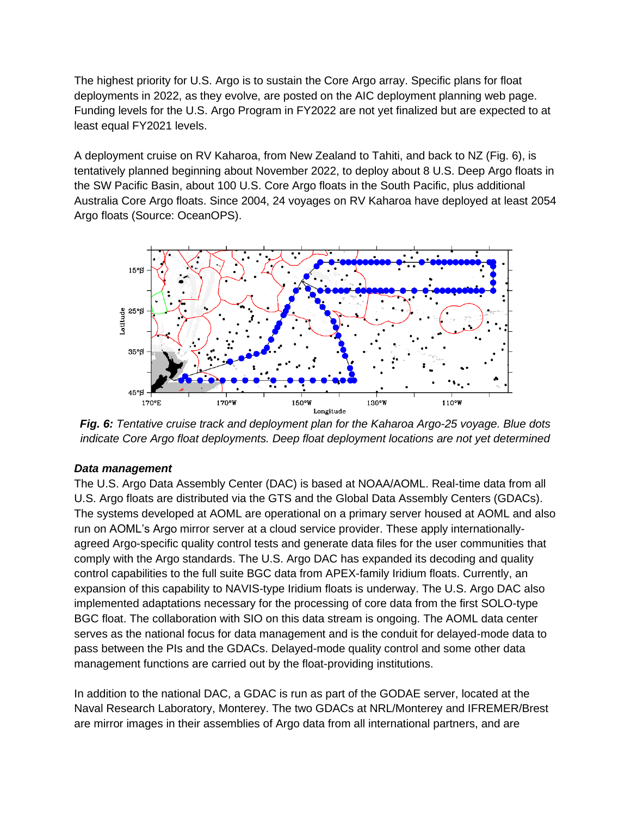The highest priority for U.S. Argo is to sustain the Core Argo array. Specific plans for float deployments in 2022, as they evolve, are posted on the AIC deployment planning web page. Funding levels for the U.S. Argo Program in FY2022 are not yet finalized but are expected to at least equal FY2021 levels.

A deployment cruise on RV Kaharoa, from New Zealand to Tahiti, and back to NZ (Fig. 6), is tentatively planned beginning about November 2022, to deploy about 8 U.S. Deep Argo floats in the SW Pacific Basin, about 100 U.S. Core Argo floats in the South Pacific, plus additional Australia Core Argo floats. Since 2004, 24 voyages on RV Kaharoa have deployed at least 2054 Argo floats (Source: OceanOPS).



*Fig. 6: Tentative cruise track and deployment plan for the Kaharoa Argo-25 voyage. Blue dots indicate Core Argo float deployments. Deep float deployment locations are not yet determined*

#### *Data management*

The U.S. Argo Data Assembly Center (DAC) is based at NOAA/AOML. Real-time data from all U.S. Argo floats are distributed via the GTS and the Global Data Assembly Centers (GDACs). The systems developed at AOML are operational on a primary server housed at AOML and also run on AOML's Argo mirror server at a cloud service provider. These apply internationallyagreed Argo-specific quality control tests and generate data files for the user communities that comply with the Argo standards. The U.S. Argo DAC has expanded its decoding and quality control capabilities to the full suite BGC data from APEX-family Iridium floats. Currently, an expansion of this capability to NAVIS-type Iridium floats is underway. The U.S. Argo DAC also implemented adaptations necessary for the processing of core data from the first SOLO-type BGC float. The collaboration with SIO on this data stream is ongoing. The AOML data center serves as the national focus for data management and is the conduit for delayed-mode data to pass between the PIs and the GDACs. Delayed-mode quality control and some other data management functions are carried out by the float-providing institutions.

In addition to the national DAC, a GDAC is run as part of the GODAE server, located at the Naval Research Laboratory, Monterey. The two GDACs at NRL/Monterey and IFREMER/Brest are mirror images in their assemblies of Argo data from all international partners, and are